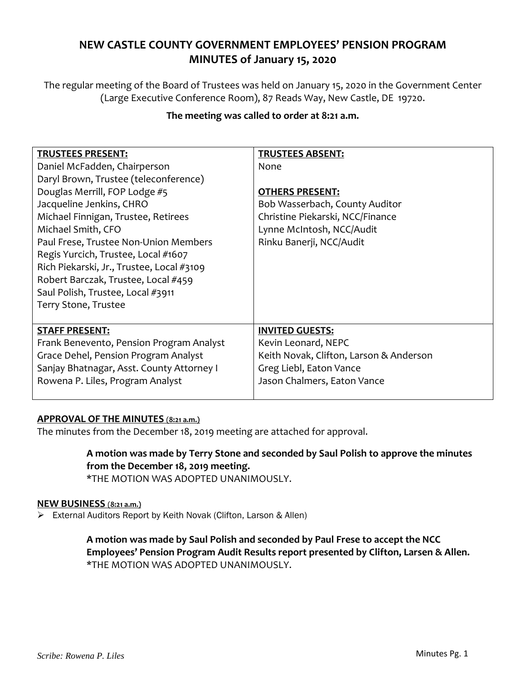# **NEW CASTLE COUNTY GOVERNMENT EMPLOYEES' PENSION PROGRAM MINUTES of January 15, 2020**

The regular meeting of the Board of Trustees was held on January 15, 2020 in the Government Center (Large Executive Conference Room), 87 Reads Way, New Castle, DE 19720.

| <b>TRUSTEES PRESENT:</b>                  | <b>TRUSTEES ABSENT:</b>                 |
|-------------------------------------------|-----------------------------------------|
| Daniel McFadden, Chairperson              | None                                    |
| Daryl Brown, Trustee (teleconference)     |                                         |
| Douglas Merrill, FOP Lodge #5             | <b>OTHERS PRESENT:</b>                  |
| Jacqueline Jenkins, CHRO                  | Bob Wasserbach, County Auditor          |
| Michael Finnigan, Trustee, Retirees       | Christine Piekarski, NCC/Finance        |
| Michael Smith, CFO                        | Lynne McIntosh, NCC/Audit               |
| Paul Frese, Trustee Non-Union Members     | Rinku Banerji, NCC/Audit                |
| Regis Yurcich, Trustee, Local #1607       |                                         |
| Rich Piekarski, Jr., Trustee, Local #3109 |                                         |
| Robert Barczak, Trustee, Local #459       |                                         |
| Saul Polish, Trustee, Local #3911         |                                         |
| Terry Stone, Trustee                      |                                         |
|                                           |                                         |
| <b>STAFF PRESENT:</b>                     | <b>INVITED GUESTS:</b>                  |
| Frank Benevento, Pension Program Analyst  | Kevin Leonard, NEPC                     |
| Grace Dehel, Pension Program Analyst      | Keith Novak, Clifton, Larson & Anderson |
| Sanjay Bhatnagar, Asst. County Attorney I | Greg Liebl, Eaton Vance                 |
| Rowena P. Liles, Program Analyst          | Jason Chalmers, Eaton Vance             |
|                                           |                                         |

# **The meeting was called to order at 8:21 a.m.**

# **APPROVAL OF THE MINUTES** (**8:21 a.m.)**

The minutes from the December 18, 2019 meeting are attached for approval.

# **A motion was made by Terry Stone and seconded by Saul Polish to approve the minutes from the December 18, 2019 meeting.**

\*THE MOTION WAS ADOPTED UNANIMOUSLY.

# **NEW BUSINESS** (**8:21 a.m.)**

External Auditors Report by Keith Novak (Clifton, Larson & Allen)

**A motion was made by Saul Polish and seconded by Paul Frese to accept the NCC Employees' Pension Program Audit Results report presented by Clifton, Larsen & Allen.** \*THE MOTION WAS ADOPTED UNANIMOUSLY.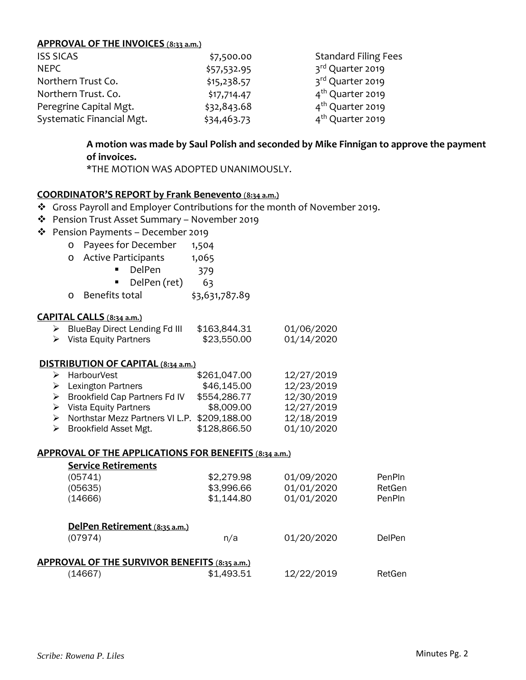#### **APPROVAL OF THE INVOICES** (**8:33 a.m.)**

| <b>ISS SICAS</b>          | \$7,500.00  | <b>Standard Filing Fees</b>  |
|---------------------------|-------------|------------------------------|
| NEPC                      | \$57,532.95 | 3rd Quarter 2019             |
| Northern Trust Co.        | \$15,238.57 | 3rd Quarter 2019             |
| Northern Trust. Co.       | \$17,714.47 | 4 <sup>th</sup> Quarter 2019 |
| Peregrine Capital Mgt.    | \$32,843.68 | 4 <sup>th</sup> Quarter 2019 |
| Systematic Financial Mgt. | \$34,463.73 | 4 <sup>th</sup> Quarter 2019 |

# **A motion was made by Saul Polish and seconded by Mike Finnigan to approve the payment of invoices.**

\*THE MOTION WAS ADOPTED UNANIMOUSLY.

### **COORDINATOR'S REPORT by Frank Benevento** (**8:34 a.m.)**

- \* Gross Payroll and Employer Contributions for the month of November 2019.
- Pension Trust Asset Summary November 2019
- Pension Payments December 2019
	- o Payees for December 1,504
	- o Active Participants 1,065
		- DelPen 379
		- $\blacksquare$  DelPen (ret) 63
	- o Benefits total \$3,631,787.89

#### **CAPITAL CALLS** (**8:34 a.m.)**

| $\triangleright$ BlueBay Direct Lending Fd III | \$163,844.31 | 01/06/2020 |
|------------------------------------------------|--------------|------------|
| $\triangleright$ Vista Equity Partners         | \$23,550.00  | 01/14/2020 |

#### **DISTRIBUTION OF CAPITAL (8:34 a.m.)**

| $\triangleright$ HarbourVest                   | \$261,047.00 | 12/27/2019 |
|------------------------------------------------|--------------|------------|
| $\triangleright$ Lexington Partners            | \$46,145.00  | 12/23/2019 |
| $\triangleright$ Brookfield Cap Partners Fd IV | \$554,286.77 | 12/30/2019 |
| $\triangleright$ Vista Equity Partners         | \$8,009.00   | 12/27/2019 |
| > Northstar Mezz Partners VI L.P. \$209,188.00 |              | 12/18/2019 |
| $\triangleright$ Brookfield Asset Mgt.         | \$128,866.50 | 01/10/2020 |

#### **APPROVAL OF THE APPLICATIONS FOR BENEFITS** (**8:34 a.m.)**

| <b>Service Retirements</b>                    |            |            |               |
|-----------------------------------------------|------------|------------|---------------|
| (05741)                                       | \$2,279.98 | 01/09/2020 | PenPln        |
| (05635)                                       | \$3,996.66 | 01/01/2020 | RetGen        |
| (14666)                                       | \$1,144.80 | 01/01/2020 | PenPln        |
| DelPen Retirement (8:35 a.m.)                 |            |            |               |
| (07974)                                       | n/a        | 01/20/2020 | <b>DelPen</b> |
| APPROVAL OF THE SURVIVOR BENEFITS (8:35 a.m.) |            |            |               |
| (14667)                                       | \$1,493.51 | 12/22/2019 | RetGen        |
|                                               |            |            |               |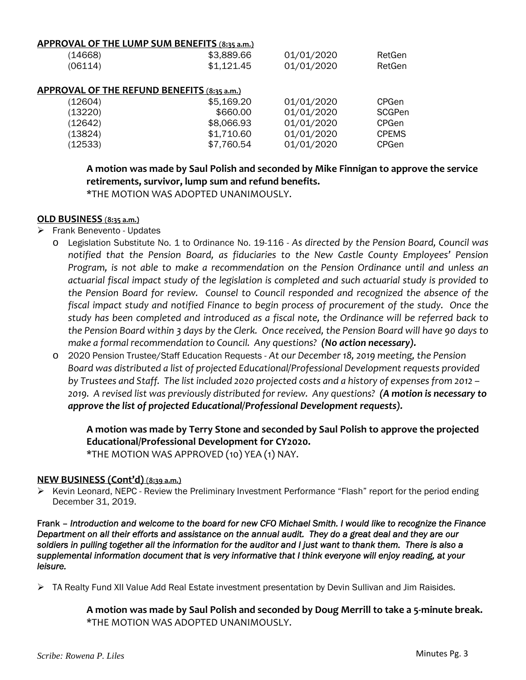#### **APPROVAL OF THE LUMP SUM BENEFITS** (**8:35 a.m.)**

| (14668)                                     | \$3,889.66 | 01/01/2020 | RetGen        |  |
|---------------------------------------------|------------|------------|---------------|--|
| (06114)                                     | \$1,121.45 | 01/01/2020 | RetGen        |  |
|                                             |            |            |               |  |
| APPROVAL OF THE REFUND BENEFITS (8:35 a.m.) |            |            |               |  |
| (12604)                                     | \$5,169.20 | 01/01/2020 | <b>CPGen</b>  |  |
| (13220)                                     | \$660.00   | 01/01/2020 | <b>SCGPen</b> |  |
| (12642)                                     | \$8,066.93 | 01/01/2020 | <b>CPGen</b>  |  |
| (13824)                                     | \$1,710.60 | 01/01/2020 | <b>CPEMS</b>  |  |
| (12533)                                     | \$7,760.54 | 01/01/2020 | <b>CPGen</b>  |  |
|                                             |            |            |               |  |

**A motion was made by Saul Polish and seconded by Mike Finnigan to approve the service retirements, survivor, lump sum and refund benefits.**

\*THE MOTION WAS ADOPTED UNANIMOUSLY.

### **OLD BUSINESS** (**8:35 a.m.)**

- **Frank Benevento Updates** 
	- o Legislation Substitute No. 1 to Ordinance No. 19-116 *As directed by the Pension Board, Council was notified that the Pension Board, as fiduciaries to the New Castle County Employees' Pension Program, is not able to make a recommendation on the Pension Ordinance until and unless an actuarial fiscal impact study of the legislation is completed and such actuarial study is provided to the Pension Board for review. Counsel to Council responded and recognized the absence of the fiscal impact study and notified Finance to begin process of procurement of the study. Once the study has been completed and introduced as a fiscal note, the Ordinance will be referred back to* the Pension Board within 3 days by the Clerk. Once received, the Pension Board will have 90 days to *make a formal recommendation to Council. Any questions? (No action necessary).*
	- o 2020 Pension Trustee/Staff Education Requests *At our December 18, 2019 meeting, the Pension Board was distributed a list of projected Educational/Professional Development requests provided* by Trustees and Staff. The list included 2020 projected costs and a history of expenses from 2012 -2019. A revised list was previously distributed for review. Any questions? (A motion is necessary to *approve the list of projected Educational/Professional Development requests).*

**A motion was made by Terry Stone and seconded by Saul Polish to approve the projected Educational/Professional Development for CY2020.** \*THE MOTION WAS APPROVED (10) YEA (1) NAY.

#### **NEW BUSINESS (Cont'd)** (**8:39 a.m.)**

 Kevin Leonard, NEPC - Review the Preliminary Investment Performance "Flash" report for the period ending December 31, 2019.

Frank – *Introduction and welcome to the board for new CFO Michael Smith. I would like to recognize the Finance Department on all their efforts and assistance on the annual audit. They do a great deal and they are our*  soldiers in pulling together all the information for the auditor and I just want to thank them. There is also a *supplemental information document that is very informative that I think everyone will enjoy reading, at your leisure.* 

▶ TA Realty Fund XII Value Add Real Estate investment presentation by Devin Sullivan and Jim Raisides.

**A motion was made by Saul Polish and seconded by Doug Merrill to take a 5‐minute break.** \*THE MOTION WAS ADOPTED UNANIMOUSLY.